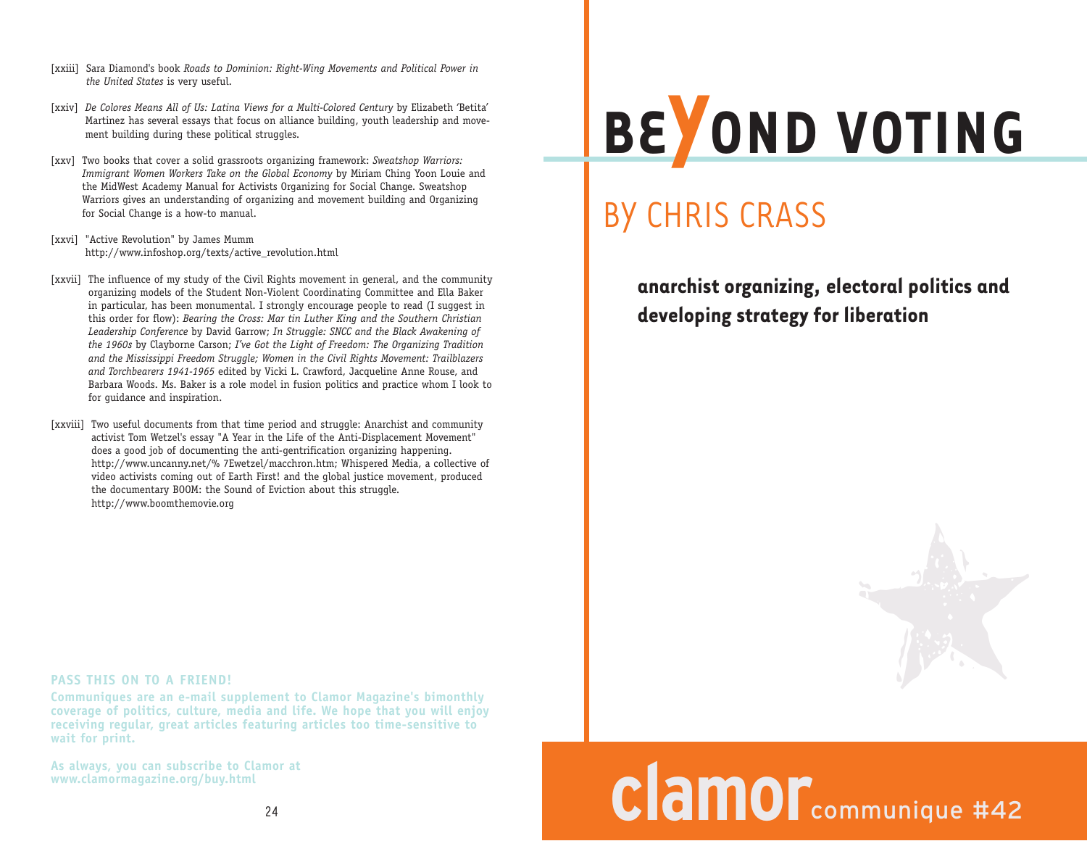- [xxiii] Sara Diamond's book *Roads to Dominion: Right-Wing Movements and Political Power in the United States* is very useful.
- [xxiv] *De Colores Means All of Us: Latina Views for a Multi-Colored Century* by Elizabeth 'Betita' Martinez has several essays that focus on alliance building, youth leadership and movement building during these political struggles.
- [xxv] Two books that cover a solid grassroots organizing framework: *Sweatshop Warriors: Immigrant Women Workers Take on the Global Economy* by Miriam Ching Yoon Louie and the MidWest Academy Manual for Activists Organizing for Social Change. Sweatshop Warriors gives an understanding of organizing and movement building and Organizing for Social Change is a how-to manual.
- [xxvi] "Active Revolution" by James Mumm http://www.infoshop.org/texts/active\_revolution.html
- [xxvii] The influence of my study of the Civil Rights movement in general, and the community organizing models of the Student Non-Violent Coordinating Committee and Ella Baker in particular, has been monumental. I strongly encourage people to read (I suggest in this order for flow): *Bearing the Cross: Mar tin Luther King and the Southern Christian Leadership Conference* by David Garrow; *In Struggle: SNCC and the Black Awakening of the 1960s* by Clayborne Carson; *I've Got the Light of Freedom: The Organizing Tradition and the Mississippi Freedom Struggle; Women in the Civil Rights Movement: Trailblazers and Torchbearers 1941-1965* edited by Vicki L. Crawford, Jacqueline Anne Rouse, and Barbara Woods. Ms. Baker is a role model in fusion politics and practice whom I look to for guidance and inspiration.
- [xxviii] Two useful documents from that time period and struggle: Anarchist and community activist Tom Wetzel's essay "A Year in the Life of the Anti-Displacement Movement" does a good job of documenting the anti-gentrification organizing happening. http://www.uncanny.net/% 7Ewetzel/macchron.htm; Whispered Media, a collective of video activists coming out of Earth First! and the global justice movement, produced the documentary BOOM: the Sound of Eviction about this struggle. http://www.boomthemovie.org

## **BE YOND VOTING**

## BY CHRIS CRASS

**anarchist organizing, electoral politics and developing strategy for liberation**



# **clamor**communique #42

#### **PASS THIS ON TO A FRIEND!**

**Communiques are an e-mail supplement to Clamor Magazine's bimonthly coverage of politics, culture, media and life. We hope that you will enjoy receiving regular, great articles featuring articles too time-sensitive to wait for print.** 

**As always, you can subscribe to Clamor at www.clamormagazine.org/buy.html**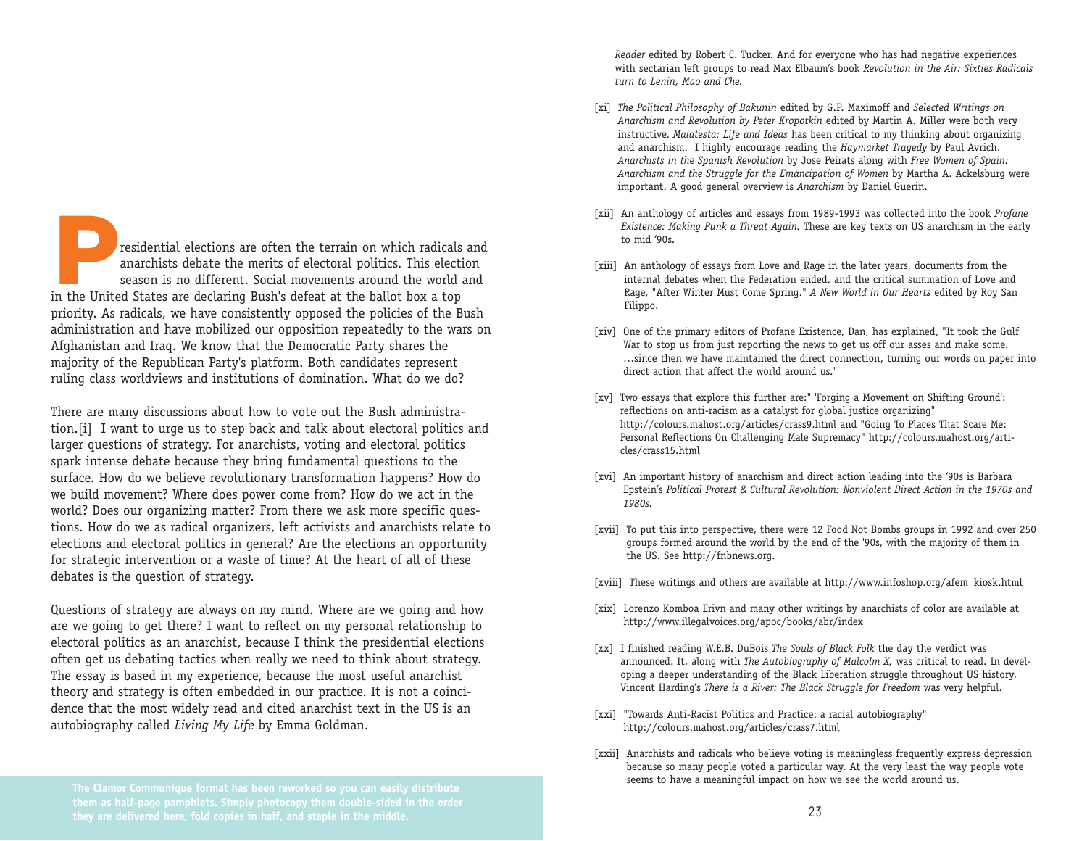**P**residential elections are often the terrain on which radicals and anarchists debate the merits of electoral politics. This election season is no different. Social movements around the world and in the United States are declaring Bush's defeat at the ballot box a top priority. As radicals, we have consistently opposed the policies of the Bush administration and have mobilized our opposition repeatedly to the wars on Afghanistan and Iraq. We know that the Democratic Party shares the majority of the Republican Party's platform. Both candidates represent ruling class worldviews and institutions of domination. What do we do?

There are many discussions about how to vote out the Bush administration.[i] I want to urge us to step back and talk about electoral politics and larger questions of strategy. For anarchists, voting and electoral politics spark intense debate because they bring fundamental questions to the surface. How do we believe revolutionary transformation happens? How do we build movement? Where does power come from? How do we act in the world? Does our organizing matter? From there we ask more specific questions. How do we as radical organizers, left activists and anarchists relate to elections and electoral politics in general? Are the elections an opportunity for strategic intervention or a waste of time? At the heart of all of these debates is the question of strategy.

Questions of strategy are always on my mind. Where are we going and how are we going to get there? I want to reflect on my personal relationship to electoral politics as an anarchist, because I think the presidential elections often get us debating tactics when really we need to think about strategy. The essay is based in my experience, because the most useful anarchist theory and strategy is often embedded in our practice. It is not a coincidence that the most widely read and cited anarchist text in the US is an autobiography called *Living My Life* by Emma Goldman.

*Reader* edited by Robert C. Tucker. And for everyone who has had negative experiences with sectarian left groups to read Max Elbaum's book *Revolution in the Air: Sixties Radicals turn to Lenin, Mao and Che.*

- [xi] *The Political Philosophy of Bakunin* edited by G.P. Maximoff and *Selected Writings on Anarchism and Revolution by Peter Kropotkin* edited by Martin A. Miller were both very instructive. *Malatesta: Life and Ideas* has been critical to my thinking about organizing and anarchism. I highly encourage reading the *Haymarket Tragedy* by Paul Avrich. *Anarchists in the Spanish Revolution* by Jose Peirats along with *Free Women of Spain: Anarchism and the Struggle for the Emancipation of Women* by Martha A. Ackelsburg were important. A good general overview is *Anarchism* by Daniel Guerin.
- [xii] An anthology of articles and essays from 1989-1993 was collected into the book *Profane Existence: Making Punk a Threat Again.* These are key texts on US anarchism in the early to mid '90s.
- [xiii] An anthology of essays from Love and Rage in the later years, documents from the internal debates when the Federation ended, and the critical summation of Love and Rage, "After Winter Must Come Spring." *A New World in Our Hearts* edited by Roy San Filippo.
- [xiv] One of the primary editors of Profane Existence, Dan, has explained, "It took the Gulf War to stop us from just reporting the news to get us off our asses and make some. …since then we have maintained the direct connection, turning our words on paper into direct action that affect the world around us."
- [xv] Two essays that explore this further are:" 'Forging a Movement on Shifting Ground': reflections on anti-racism as a catalyst for global justice organizing" http://colours.mahost.org/articles/crass9.html and "Going To Places That Scare Me: Personal Reflections On Challenging Male Supremacy" http://colours.mahost.org/articles/crass15.html
- [xvi] An important history of anarchism and direct action leading into the '90s is Barbara Epstein's *Political Protest & Cultural Revolution: Nonviolent Direct Action in the 1970s and 1980s.*
- [xvii] To put this into perspective, there were 12 Food Not Bombs groups in 1992 and over 250 groups formed around the world by the end of the '90s, with the majority of them in the US. See http://fnbnews.org.
- [xviii] These writings and others are available at http://www.infoshop.org/afem\_kiosk.html
- [xix] Lorenzo Komboa Erivn and many other writings by anarchists of color are available at http://www.illegalvoices.org/apoc/books/abr/index
- [xx] I finished reading W.E.B. DuBois *The Souls of Black Folk* the day the verdict was announced. It, along with *The Autobiography of Malcolm X,* was critical to read. In developing a deeper understanding of the Black Liberation struggle throughout US history, Vincent Harding's *There is a River: The Black Struggle for Freedom* was very helpful.
- [xxi] "Towards Anti-Racist Politics and Practice: a racial autobiography" http://colours.mahost.org/articles/crass7.html
- [xxii] Anarchists and radicals who believe voting is meaningless frequently express depression because so many people voted a particular way. At the very least the way people vote seems to have a meaningful impact on how we see the world around us.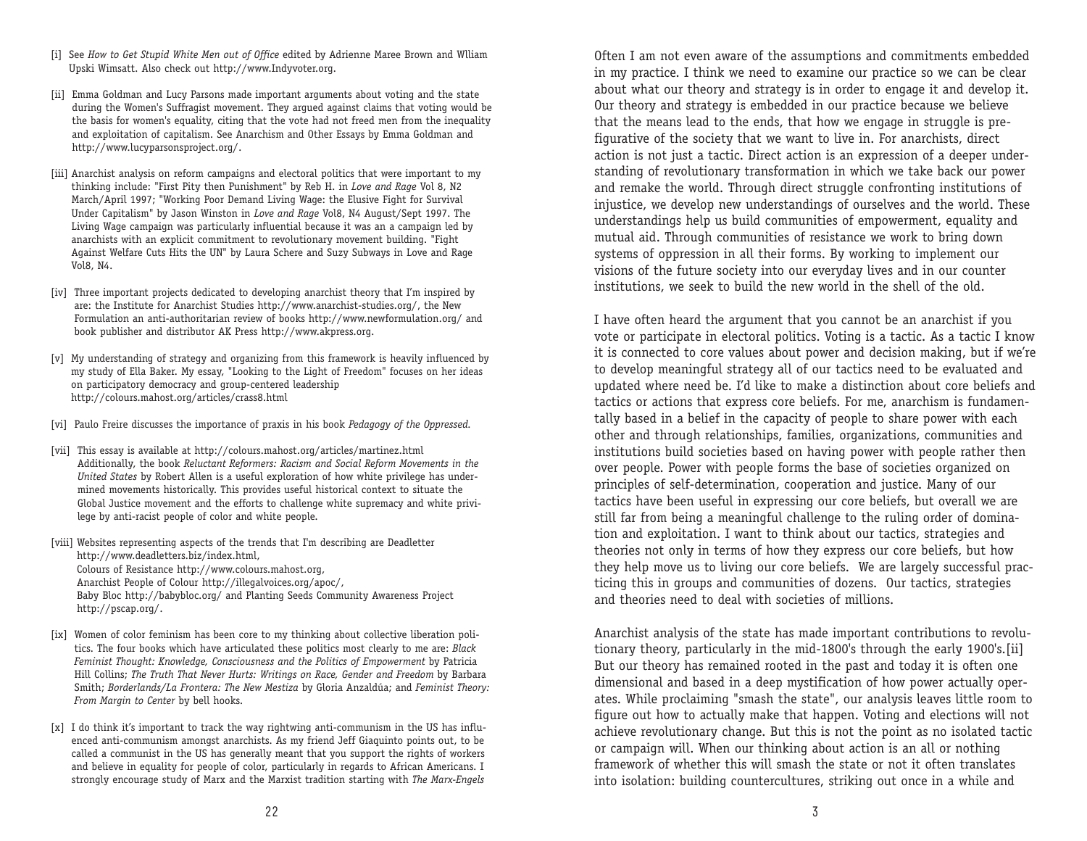- [i] See *How to Get Stupid White Men out of Office* edited by Adrienne Maree Brown and Wlliam Upski Wimsatt. Also check out http://www.Indyvoter.org.
- [ii] Emma Goldman and Lucy Parsons made important arguments about voting and the state during the Women's Suffragist movement. They argued against claims that voting would be the basis for women's equality, citing that the vote had not freed men from the inequality and exploitation of capitalism. See Anarchism and Other Essays by Emma Goldman and http://www.lucyparsonsproject.org/.
- [iii] Anarchist analysis on reform campaigns and electoral politics that were important to my thinking include: "First Pity then Punishment" by Reb H. in *Love and Rage* Vol 8, N2 March/April 1997; "Working Poor Demand Living Wage: the Elusive Fight for Survival Under Capitalism" by Jason Winston in *Love and Rage* Vol8, N4 August/Sept 1997. The Living Wage campaign was particularly influential because it was an a campaign led by anarchists with an explicit commitment to revolutionary movement building. "Fight Against Welfare Cuts Hits the UN" by Laura Schere and Suzy Subways in Love and Rage Vol8, N4.
- [iv] Three important projects dedicated to developing anarchist theory that I'm inspired by are: the Institute for Anarchist Studies http://www.anarchist-studies.org/, the New Formulation an anti-authoritarian review of books http://www.newformulation.org/ and book publisher and distributor AK Press http://www.akpress.org.
- [v] My understanding of strategy and organizing from this framework is heavily influenced by my study of Ella Baker. My essay, "Looking to the Light of Freedom" focuses on her ideas on participatory democracy and group-centered leadership http://colours.mahost.org/articles/crass8.html
- [vi] Paulo Freire discusses the importance of praxis in his book *Pedagogy of the Oppressed.*
- [vii] This essay is available at http://colours.mahost.org/articles/martinez.html Additionally, the book *Reluctant Reformers: Racism and Social Reform Movements in the United States* by Robert Allen is a useful exploration of how white privilege has undermined movements historically. This provides useful historical context to situate the Global Justice movement and the efforts to challenge white supremacy and white privilege by anti-racist people of color and white people.

[viii] Websites representing aspects of the trends that I'm describing are Deadletter http://www.deadletters.biz/index.html, Colours of Resistance http://www.colours.mahost.org, Anarchist People of Colour http://illegalvoices.org/apoc/, Baby Bloc http://babybloc.org/ and Planting Seeds Community Awareness Project http://pscap.org/.

- [ix] Women of color feminism has been core to my thinking about collective liberation politics. The four books which have articulated these politics most clearly to me are: *Black Feminist Thought: Knowledge, Consciousness and the Politics of Empowerment* by Patricia Hill Collins; *The Truth That Never Hurts: Writings on Race, Gender and Freedom* by Barbara Smith; *Borderlands/La Frontera: The New Mestiza* by Gloria Anzaldúa; and *Feminist Theory: From Margin to Center* by bell hooks.
- [x] I do think it's important to track the way rightwing anti-communism in the US has influenced anti-communism amongst anarchists. As my friend Jeff Giaquinto points out, to be called a communist in the US has generally meant that you support the rights of workers and believe in equality for people of color, particularly in regards to African Americans. I strongly encourage study of Marx and the Marxist tradition starting with *The Marx-Engels*

Often I am not even aware of the assumptions and commitments embedded in my practice. I think we need to examine our practice so we can be clear about what our theory and strategy is in order to engage it and develop it. Our theory and strategy is embedded in our practice because we believe that the means lead to the ends, that how we engage in struggle is prefigurative of the society that we want to live in. For anarchists, direct action is not just a tactic. Direct action is an expression of a deeper understanding of revolutionary transformation in which we take back our power and remake the world. Through direct struggle confronting institutions of injustice, we develop new understandings of ourselves and the world. These understandings help us build communities of empowerment, equality and mutual aid. Through communities of resistance we work to bring down systems of oppression in all their forms. By working to implement our visions of the future society into our everyday lives and in our counter institutions, we seek to build the new world in the shell of the old.

I have often heard the argument that you cannot be an anarchist if you vote or participate in electoral politics. Voting is a tactic. As a tactic I know it is connected to core values about power and decision making, but if we're to develop meaningful strategy all of our tactics need to be evaluated and updated where need be. I'd like to make a distinction about core beliefs and tactics or actions that express core beliefs. For me, anarchism is fundamentally based in a belief in the capacity of people to share power with each other and through relationships, families, organizations, communities and institutions build societies based on having power with people rather then over people. Power with people forms the base of societies organized on principles of self-determination, cooperation and justice. Many of our tactics have been useful in expressing our core beliefs, but overall we are still far from being a meaningful challenge to the ruling order of domination and exploitation. I want to think about our tactics, strategies and theories not only in terms of how they express our core beliefs, but how they help move us to living our core beliefs. We are largely successful practicing this in groups and communities of dozens. Our tactics, strategies and theories need to deal with societies of millions.

Anarchist analysis of the state has made important contributions to revolutionary theory, particularly in the mid-1800's through the early 1900's.[ii] But our theory has remained rooted in the past and today it is often one dimensional and based in a deep mystification of how power actually operates. While proclaiming "smash the state", our analysis leaves little room to figure out how to actually make that happen. Voting and elections will not achieve revolutionary change. But this is not the point as no isolated tactic or campaign will. When our thinking about action is an all or nothing framework of whether this will smash the state or not it often translates into isolation: building countercultures, striking out once in a while and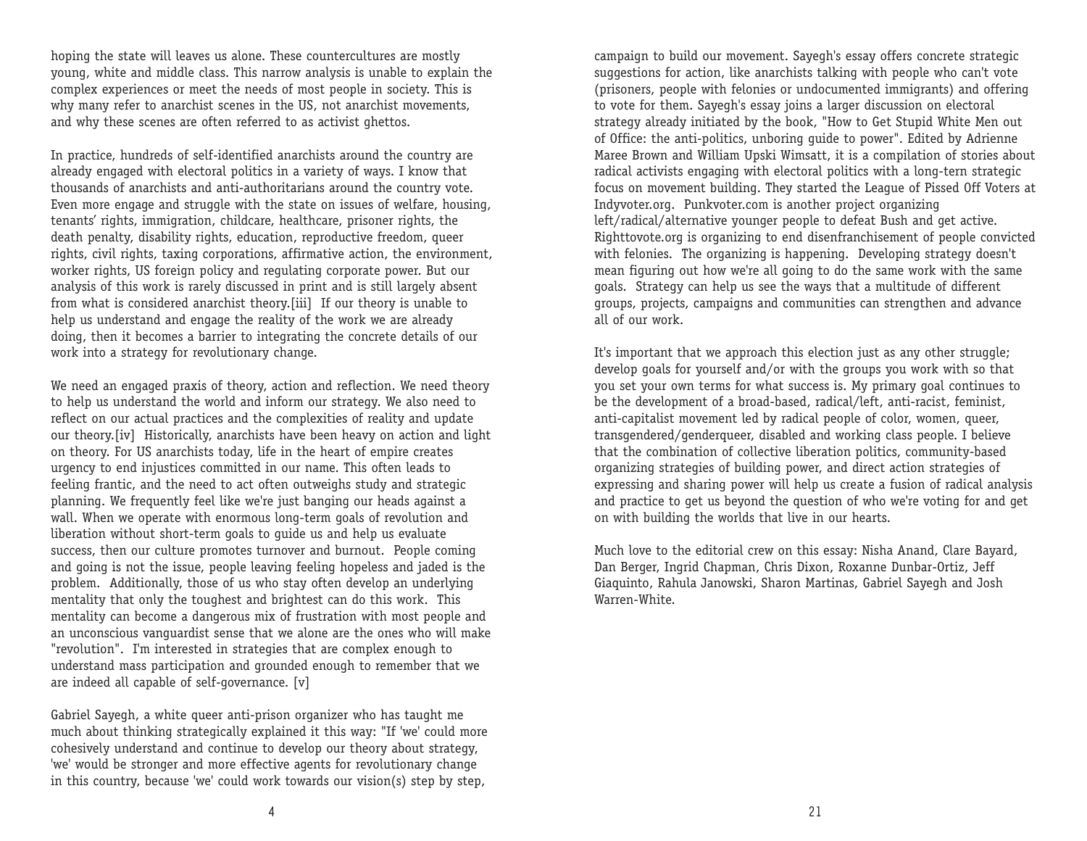hoping the state will leaves us alone. These countercultures are mostly young, white and middle class. This narrow analysis is unable to explain the complex experiences or meet the needs of most people in society. This is why many refer to anarchist scenes in the US, not anarchist movements, and why these scenes are often referred to as activist ghettos.

In practice, hundreds of self-identified anarchists around the country are already engaged with electoral politics in a variety of ways. I know that thousands of anarchists and anti-authoritarians around the country vote. Even more engage and struggle with the state on issues of welfare, housing, tenants' rights, immigration, childcare, healthcare, prisoner rights, the death penalty, disability rights, education, reproductive freedom, queer rights, civil rights, taxing corporations, affirmative action, the environment, worker rights, US foreign policy and regulating corporate power. But our analysis of this work is rarely discussed in print and is still largely absent from what is considered anarchist theory.[iii] If our theory is unable to help us understand and engage the reality of the work we are already doing, then it becomes a barrier to integrating the concrete details of our work into a strategy for revolutionary change.

We need an engaged praxis of theory, action and reflection. We need theory to help us understand the world and inform our strategy. We also need to reflect on our actual practices and the complexities of reality and update our theory.[iv] Historically, anarchists have been heavy on action and light on theory. For US anarchists today, life in the heart of empire creates urgency to end injustices committed in our name. This often leads to feeling frantic, and the need to act often outweighs study and strategic planning. We frequently feel like we're just banging our heads against a wall. When we operate with enormous long-term goals of revolution and liberation without short-term goals to guide us and help us evaluate success, then our culture promotes turnover and burnout. People coming and going is not the issue, people leaving feeling hopeless and jaded is the problem. Additionally, those of us who stay often develop an underlying me ntality that only the toughest and brightest can do this work. This me ntality can become a dangerous mix of frustration with most people and an unconscious vanguardist sense that we alone are the ones who will make "revolution". I'm interested in strategies that are complex enough to understand mass participation and grounded enough to remember that we are indeed all capable of self-governance. [v]

Gabriel Sayegh, a white queer anti-prison organizer who has taught me much about thinking strategically explained it this way: "If 'we' could more cohesively understand and continue to develop our theory about strategy, 'we' would be stronger and more effective agents for revolutionary change in this country, because 'we' could work towards our vision(s) step by step,

campaign to build our movement. Sayegh's essay offers concrete strategic suggestions for action, like anarchists talking with people who can't vote (prisoners, people with felonies or undocumented immigrants) and offering to vote for them. Sayegh's essay joins a larger discussion on electoral strategy already initiated by the book, "How to Get Stupid White Men out of Office: the anti-politics, unboring guide to power". Edited by Adrienne Maree Brown and William Upski Wimsatt, it is a compilation of stories about radical activists engaging with electoral politics with a long-tern strategic focus on movement building. They started the League of Pissed Off Voters at Indyvoter.org. Punkvoter.com is another project organizing left/radical/alternative younger people to defeat Bush and get active. Righttovote.org is organizing to end disenfranchisement of people convicted with felonies. The organizing is happening. Developing strategy doesn't mean figuring out how we're all going to do the same work with the same goals. Strategy can help us see the ways that a multitude of different groups, projects, campaigns and communities can strengthen and advance all of our work.

It's important that we approach this election just as any other struggle; develop goals for yourself and/or with the groups you work with so that you set your own terms for what success is. My primary goal continues to be the development of a broad-based, radical/left, anti-racist, feminist, anti-capitalist movement led by radical people of color, women, queer, transgendered/genderqueer, disabled and working class people. I believe that the combination of collective liberation politics, community-based organizing strategies of building power, and direct action strategies of expressing and sharing power will help us create a fusion of radical analysis and practice to get us beyond the question of who we're voting for and get on with building the worlds that live in our hearts.

Much love to the editorial crew on this essay: Nisha Anand, Clare Bayard, Dan Berger, Ingrid Chapman, Chris Dixon, Roxanne Dunbar-Ortiz, Jeff Giaquinto, Rahula Janowski, Sharon Martinas, Gabriel Sayegh and Josh Warren-White.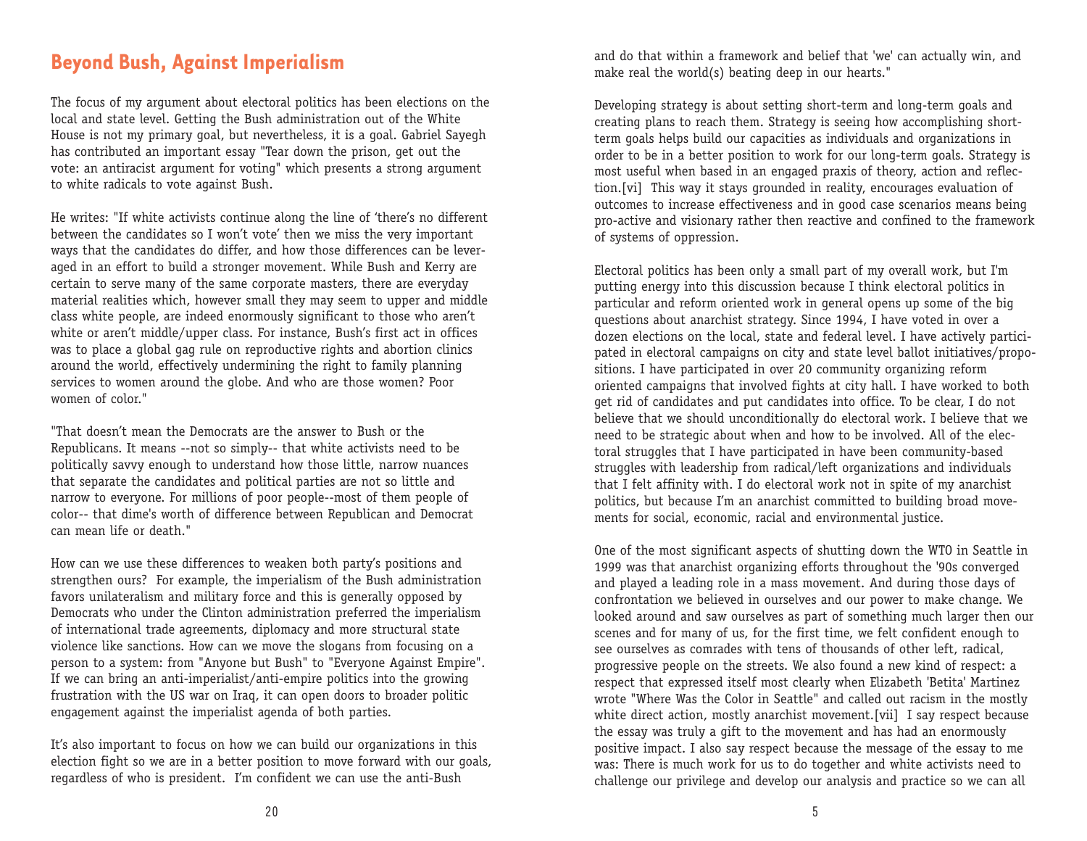#### **Beyond Bush, Against Imperialism**

The focus of my argument about electoral politics has been elections on the local and state level. Getting the Bush administration out of the White Ho use is not my primary goal, but nevertheless, it is a goal. Gabriel Sayegh has contributed an important essay "Tear down the prison, get out the vote: an antiracist argument for voting" which presents a strong argument to white radicals to vote against Bush.

He writes: "If white activists continue along the line of 'there's no different between the candidates so I won't vote' then we miss the very important ways that the candidates do differ, and how those differences can be leveraged in an effort to build a stronger movement. While Bush and Kerry are certain to serve many of the same corporate masters, there are everyday material realities which, however small they may seem to upper and middle class white people, are indeed enormously significant to those who aren't white or aren't middle/upper class. For instance, Bush's first act in offices was to place a global gag rule on reproductive rights and abortion clinics around the world, effectively undermining the right to family planning services to women around the globe. And who are those women? Poor women of color."

"That doesn't mean the Democrats are the answer to Bush or the Republicans. It means --not so simply-- that white activists need to be politically savvy enough to understand how those little, narrow nuances that separate the candidates and political parties are not so little and narrow to everyone. For millions of poor people--most of them people of color-- that dime's worth of difference between Republican and Democrat can mean life or death."

How can we use these differences to weaken both party's positions and strengthen ours? For example, the imperialism of the Bush administration favors unilateralism and military force and this is generally opposed by Democrats who under the Clinton administration preferred the imperialism of international trade agreements, diplomacy and more structural state violence like sanctions. How can we move the slogans from focusing on a person to a system: from "Anyone but Bush" to "Everyone Against Empire". If we can bring an anti-imperialist/anti-empire politics into the growing frustration with the US war on Iraq, it can open doors to broader politic engagement against the imperialist agenda of both parties.

It's also important to focus on how we can build our organizations in this election fight so we are in a better position to move forward with our goals, regardless of who is president. I'm confident we can use the anti-Bush

and do that within a framework and belief that 'we' can actually win, and make real the world(s) beating deep in our hearts."

Developing strategy is about setting short-term and long-term goals and creating plans to reach them. Strategy is seeing how accomplishing shortterm goals helps build our capacities as individuals and organizations in order to be in a better position to work for our long-term goals. Strategy is most useful when based in an engaged praxis of theory, action and reflection.[vi] This way it stays grounded in reality, encourages evaluation of outcomes to increase effectiveness and in good case scenarios means being pro-active and visionary rather then reactive and confined to the framework of systems of oppression.

Electoral politics has been only a small part of my overall work, but I'm putting energy into this discussion because I think electoral politics in particular and reform oriented work in general opens up some of the big questions about anarchist strategy. Since 1994, I have voted in over a dozen elections on the local, state and federal level. I have actively participated in electoral campaigns on city and state level ballot initiatives/propositions. I have participated in over 20 community organizing reform oriented campaigns that involved fights at city hall. I have worked to both get rid of candidates and put candidates into office. To be clear, I do not believe that we should unconditionally do electoral work. I believe that we need to be strategic about when and how to be involved. All of the electoral struggles that I have participated in have been community-based struggles with leadership from radical/left organizations and individuals that I felt affinity with. I do electoral work not in spite of my anarchist politics, but because I'm an anarchist committed to building broad movements for social, economic, racial and environmental justice.

One of the most significant aspects of shutting down the WTO in Seattle in 1999 was that anarchist organizing efforts throughout the '90s converged and played a leading role in a mass movement. And during those days of confrontation we believed in ourselves and our power to make change. We looked around and saw ourselves as part of something much larger then our scenes and for many of us, for the first time, we felt confident enough to see ourselves as comrades with tens of thousands of other left, radical, progressive people on the streets. We also found a new kind of respect: a respect that expressed itself most clearly when Elizabeth 'Betita' Martinez wrote "Where Was the Color in Seattle" and called out racism in the mostly white direct action, mostly anarchist movement.[vii] I say respect because the essay was truly a gift to the movement and has had an enormously positive impact. I also say respect because the message of the essay to me was: There is much work for us to do together and white activists need to challenge our privilege and develop our analysis and practice so we can all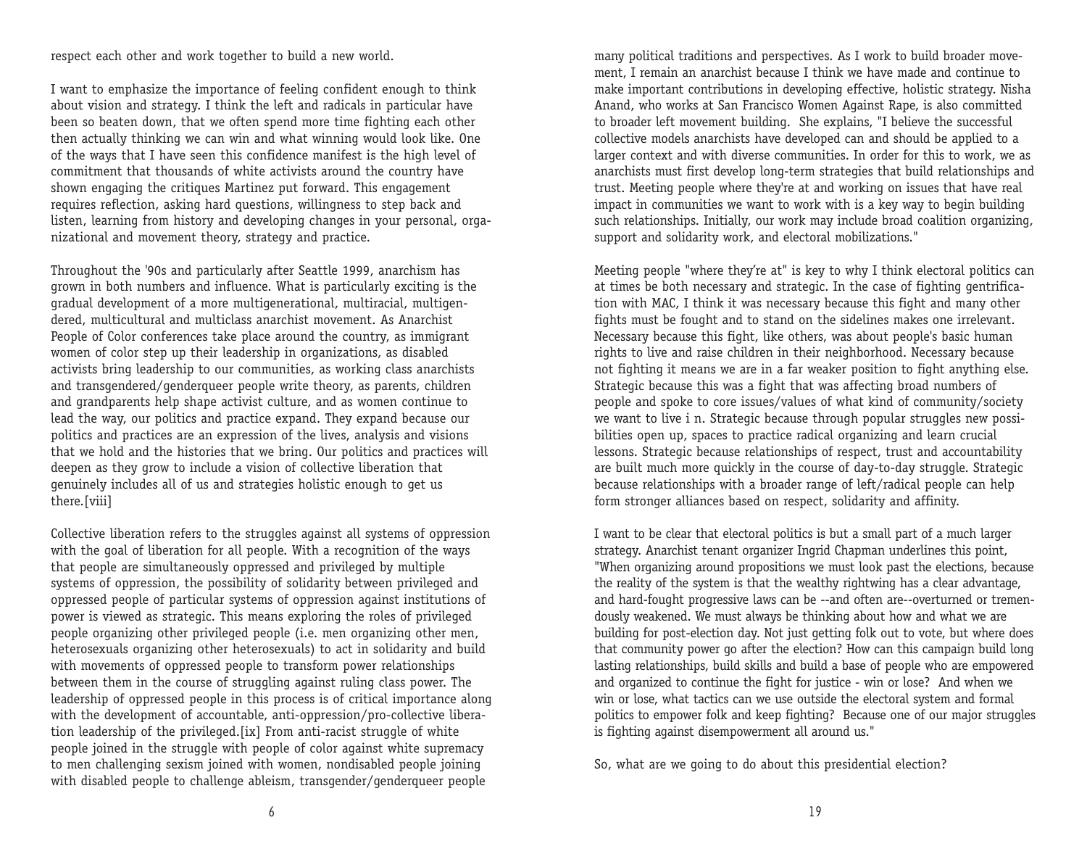respect each other and work together to build a new world.

I want to emphasize the importance of feeling confident enough to think about vision and strategy. I think the left and radicals in particular have been so beaten down, that we often spend more time fighting each other then actually thinking we can win and what winning would look like. One of the ways that I have seen this confidence manifest is the high level of commitment that thousands of white activists around the country have shown engaging the critiques Martinez put forward. This engagement requires reflection, asking hard questions, willingness to step back and listen, learning from history and developing changes in your personal, organizational and movement theory, strategy and practice.

Throughout the '90s and particularly after Seattle 1999, anarchism has grown in both numbers and influence. What is particularly exciting is the gradual development of a more multigenerational, multiracial, multigendered, multicultural and multiclass anarchist movement. As Anarchist People of Color conferences take place around the country, as immigrant wo men of color step up their leadership in organizations, as disabled activists bring leadership to our communities, as working class anarchists and transgendered/genderqueer people write theory, as parents, children and grandparents help shape activist culture, and as women continue to lead the way, our politics and practice expand. They expand because our politics and practices are an expression of the lives, analysis and visions that we hold and the histories that we bring. Our politics and practices will deepen as they grow to include a vision of collective liberation that ge nuinely includes all of us and strategies holistic enough to get us there.[viii]

Collective liberation refers to the struggles against all systems of oppression with the goal of liberation for all people. With a recognition of the ways that people are simultaneously oppressed and privileged by multiple systems of oppression, the possibility of solidarity between privileged and oppressed people of particular systems of oppression against institutions of power is viewed as strategic. This means exploring the roles of privileged people organizing other privileged people (i.e. men organizing other men, heterosexuals organizing other heterosexuals) to act in solidarity and build with movements of oppressed people to transform power relationships between them in the course of struggling against ruling class power. The leadership of oppressed people in this process is of critical importance along with the development of accountable, anti-oppression/pro-collective liberation leadership of the privileged.[ix] From anti-racist struggle of white people joined in the struggle with people of color against white supremacy to men challenging sexism joined with women, nondisabled people joining with disabled people to challenge ableism, transgender/genderqueer people

many political traditions and perspectives. As I work to build broader moveme nt, I remain an anarchist because I think we have made and continue to make important contributions in developing effective, holistic strategy. Nisha Anand, who works at San Francisco Women Against Rape, is also committed to broader left movement building. She explains, "I believe the successful collective models anarchists have developed can and should be applied to a larger context and with diverse communities. In order for this to work, we as anarchists must first develop long-term strategies that build relationships and trust. Meeting people where they're at and working on issues that have real impact in communities we want to work with is a key way to begin building such relationships. Initially, our work may include broad coalition organizing, support and solidarity work, and electoral mobilizations."

Meeting people "where they're at" is key to why I think electoral politics can at times be both necessary and strategic. In the case of fighting gentrification with MAC, I think it was necessary because this fight and many other fights must be fought and to stand on the sidelines makes one irrelevant. Necessary because this fight, like others, was about people's basic human rights to live and raise children in their neighborhood. Necessary because not fighting it means we are in a far weaker position to fight anything else. Strategic because this was a fight that was affecting broad numbers of people and spoke to core issues/values of what kind of community/society we want to live i n. Strategic because through popular struggles new possibilities open up, spaces to practice radical organizing and learn crucial lessons. Strategic because relationships of respect, trust and accountability are built much more quickly in the course of day-to-day struggle. Strategic because relationships with a broader range of left/radical people can help form stronger alliances based on respect, solidarity and affinity.

I want to be clear that electoral politics is but a small part of a much larger strategy. Anarchist tenant organizer Ingrid Chapman underlines this point, "When organizing around propositions we must look past the elections, because the reality of the system is that the wealthy rightwing has a clear advantage, and hard-fought progressive laws can be --and often are--overturned or tremendo usly weakened. We must always be thinking about how and what we are building for post-election day. Not just getting folk out to vote, but where does that community power go after the election? How can this campaign build long lasting relationships, build skills and build a base of people who are empowered and organized to continue the fight for justice - win or lose? And when we win or lose, what tactics can we use outside the electoral system and formal politics to empower folk and keep fighting? Because one of our major struggles is fighting against disempowerment all around us."

So, what are we going to do about this presidential election?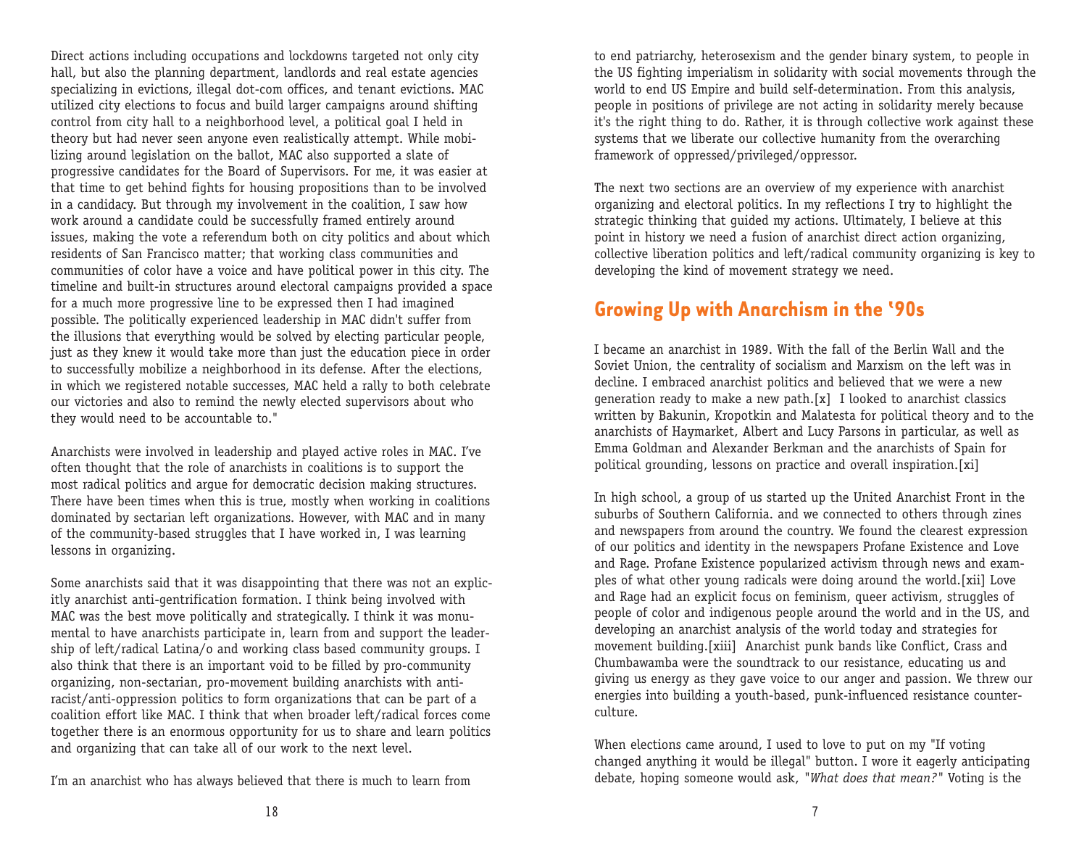Direct actions including occupations and lockdowns targeted not only city hall, but also the planning department, landlords and real estate agencies specializing in evictions, illegal dot-com offices, and tenant evictions. MAC utilized city elections to focus and build larger campaigns around shifting control from city hall to a neighborhood level, a political goal I held in theory but had never seen anyone even realistically attempt. While mobilizing around legislation on the ballot, MAC also supported a slate of progressive candidates for the Board of Supervisors. For me, it was easier at that time to get behind fights for housing propositions than to be involved in a candidacy. But through my involvement in the coalition, I saw how work around a candidate could be successfully framed entirely around issues, making the vote a referendum both on city politics and about which residents of San Francisco matter; that working class communities and communities of color have a voice and have political power in this city. The timeline and built-in structures around electoral campaigns provided a space for a much more progressive line to be expressed then I had imagined possible. The politically experienced leadership in MAC didn't suffer from the illusions that everything would be solved by electing particular people, just as they knew it would take more than just the education piece in order to successfully mobilize a neighborhood in its defense. After the elections, in which we registered notable successes, MAC held a rally to both celebrate our victories and also to remind the newly elected supervisors about who they would need to be accountable to."

Anarchists were involved in leadership and played active roles in MAC. I've often thought that the role of anarchists in coalitions is to support the most radical politics and argue for democratic decision making structures. There have been times when this is true, mostly when working in coalitions dominated by sectarian left organizations. However, with MAC and in many of the community-based struggles that I have worked in, I was learning lessons in organizing.

Some anarchists said that it was disappointing that there was not an explicitly anarchist anti-gentrification formation. I think being involved with MAC was the best move politically and strategically. I think it was monume ntal to have anarchists participate in, learn from and support the leadership of left/radical Latina/o and working class based community groups. I also think that there is an important void to be filled by pro-community organizing, non-sectarian, pro-movement building anarchists with antiracist/anti-oppression politics to form organizations that can be part of a coalition effort like MAC. I think that when broader left/radical forces come together there is an enormous opportunity for us to share and learn politics and organizing that can take all of our work to the next level.

I'm an anarchist who has always believed that there is much to learn from

to end patriarchy, heterosexism and the gender binary system, to people in the US fighting imperialism in solidarity with social movements through the world to end US Empire and build self-determination. From this analysis, people in positions of privilege are not acting in solidarity merely because it's the right thing to do. Rather, it is through collective work against these systems that we liberate our collective humanity from the overarching framework of oppressed/privileged/oppressor.

The next two sections are an overview of my experience with anarchist organizing and electoral politics. In my reflections I try to highlight the strategic thinking that guided my actions. Ultimately, I believe at this point in history we need a fusion of anarchist direct action organizing, collective liberation politics and left/radical community organizing is key to developing the kind of movement strategy we need.

### **Growing Up with Anarchism in the '90s**

I became an anarchist in 1989. With the fall of the Berlin Wall and the Soviet Union, the centrality of socialism and Marxism on the left was in decline. I embraced anarchist politics and believed that we were a new generation ready to make a new path.[x] I looked to anarchist classics written by Bakunin, Kropotkin and Malatesta for political theory and to the anarchists of Haymarket, Albert and Lucy Parsons in particular, as well as Emma Goldman and Alexander Berkman and the anarchists of Spain for political grounding, lessons on practice and overall inspiration.[xi]

In high school, a group of us started up the United Anarchist Front in the suburbs of Southern California. and we connected to others through zines and newspapers from around the country. We found the clearest expression of our politics and identity in the newspapers Profane Existence and Love and Rage. Profane Existence popularized activism through news and examples of what other young radicals were doing around the world.[xii] Love and Rage had an explicit focus on feminism, queer activism, struggles of people of color and indigenous people around the world and in the US, and developing an anarchist analysis of the world today and strategies for movement building.[xiii] Anarchist punk bands like Conflict, Crass and Chumbawamba were the soundtrack to our resistance, educating us and giving us energy as they gave voice to our anger and passion. We threw our energies into building a youth-based, punk-influenced resistance counterculture.

When elections came around, I used to love to put on my "If voting changed anything it would be illegal" button. I wore it eagerly anticipating debate, hoping someone would ask, *"What does that mean?"* Voting is the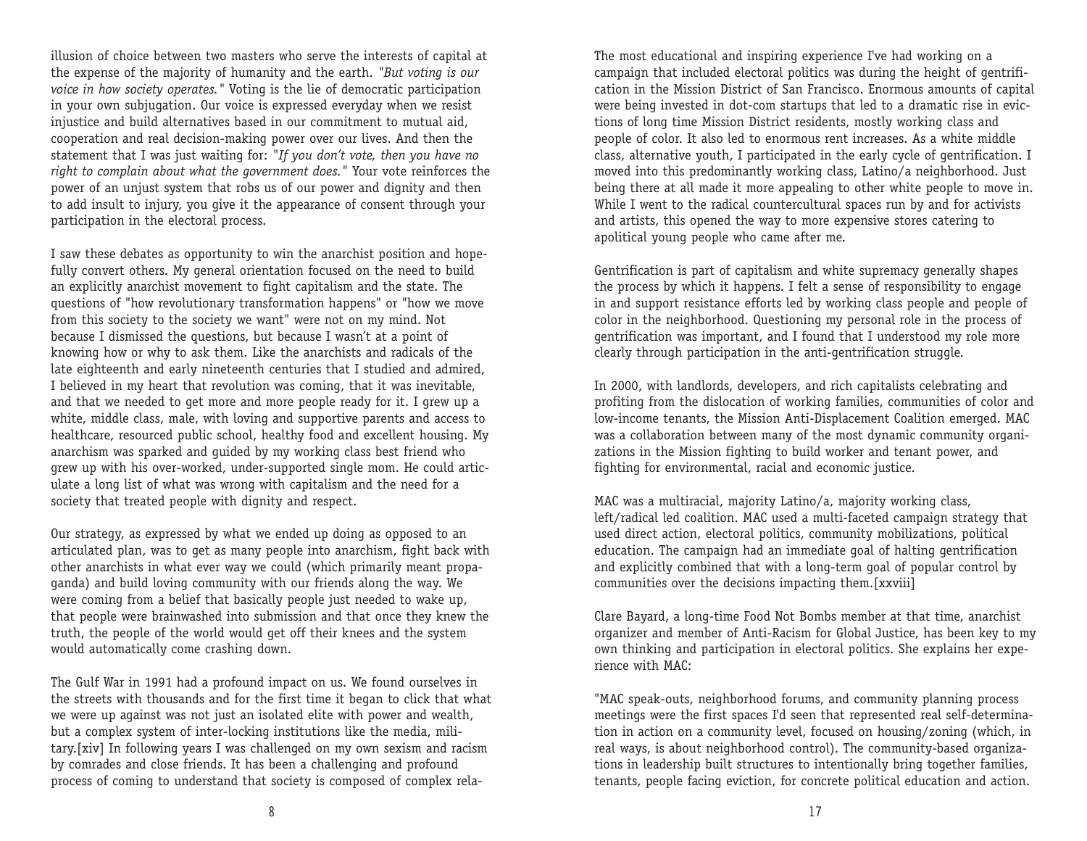illusion of choice between two masters who serve the interests of capital at the expense of the majority of humanity and the earth. *"But voting is our voice in how society operates."* Voting is the lie of democratic participation in your own subjugation. Our voice is expressed everyday when we resist injustice and build alternatives based in our commitment to mutual aid, cooperation and real decision-making power over our lives. And then the statement that I was just waiting for: *"If you don't vote, then you have no right to complain about what the government does."* Your vote reinforces the power of an unjust system that robs us of our power and dignity and then to add insult to injury, you give it the appearance of consent through your participation in the electoral process.

I saw these debates as opportunity to win the anarchist position and hopefully convert others. My general orientation focused on the need to build an explicitly anarchist movement to fight capitalism and the state. The questions of "how revolutionary transformation happens" or "how we move from this society to the society we want" were not on my mind. Not because I dismissed the questions, but because I wasn't at a point of knowing how or why to ask them. Like the anarchists and radicals of the late eighteenth and early nineteenth centuries that I studied and admired, I believed in my heart that revolution was coming, that it was inevitable, and that we needed to get more and more people ready for it. I grew up a white, middle class, male, with loving and supportive parents and access to healthcare, resourced public school, healthy food and excellent housing. My anarchism was sparked and guided by my working class best friend who grew up with his over-worked, under-supported single mom. He could articulate a long list of what was wrong with capitalism and the need for a society that treated people with dignity and respect.

Our strategy, as expressed by what we ended up doing as opposed to an articulated plan, was to get as many people into anarchism, fight back with other anarchists in what ever way we could (which primarily meant propaganda) and build loving community with our friends along the way. We were coming from a belief that basically people just needed to wake up, that people were brainwashed into submission and that once they knew the truth, the people of the world would get off their knees and the system would automatically come crashing down.

The Gulf War in 1991 had a profound impact on us. We found ourselves in the streets with thousands and for the first time it began to click that what we were up against was not just an isolated elite with power and wealth, but a complex system of inter-locking institutions like the media, military.[xiv] In following years I was challenged on my own sexism and racism by comrades and close friends. It has been a challenging and profound process of coming to understand that society is composed of complex relaThe most educational and inspiring experience I've had working on a campaign that included electoral politics was during the height of gentrification in the Mission District of San Francisco. Enormous amounts of capital were being invested in dot-com startups that led to a dramatic rise in evictions of long time Mission District residents, mostly working class and people of color. It also led to enormous rent increases. As a white middle class, alternative youth, I participated in the early cycle of gentrification. I mo ved into this predominantly working class, Latino/a neighborhood. Just being there at all made it more appealing to other white people to move in. While I went to the radical countercultural spaces run by and for activists and artists, this opened the way to more expensive stores catering to apolitical young people who came after me.

Gentrification is part of capitalism and white supremacy generally shapes the process by which it happens. I felt a sense of responsibility to engage in and support resistance efforts led by working class people and people of color in the neighborhood. Questioning my personal role in the process of ge ntrification was important, and I found that I understood my role more clearly through participation in the anti-gentrification struggle.

In 2000, with landlords, developers, and rich capitalists celebrating and profiting from the dislocation of working families, communities of color and low-income tenants, the Mission Anti-Displacement Coalition emerged. MAC was a collaboration between many of the most dynamic community organizations in the Mission fighting to build worker and tenant power, and fighting for environmental, racial and economic justice.

MAC was a multiracial, majority Latino/a, majority working class, left/radical led coalition. MAC used a multi-faceted campaign strategy that used direct action, electoral politics, community mobilizations, political education. The campaign had an immediate goal of halting gentrification and explicitly combined that with a long-term goal of popular control by communities over the decisions impacting them.[xxviii]

Clare Bayard, a long-time Food Not Bombs member at that time, anarchist organizer and member of Anti-Racism for Global Justice, has been key to my own thinking and participation in electoral politics. She explains her experience with MAC:

"MAC speak-outs, neighborhood forums, and community planning process meetings were the first spaces I'd seen that represented real self-determination in action on a community level, focused on housing/zoning (which, in real ways, is about neighborhood control). The community-based organizations in leadership built structures to intentionally bring together families, tenants, people facing eviction, for concrete political education and action.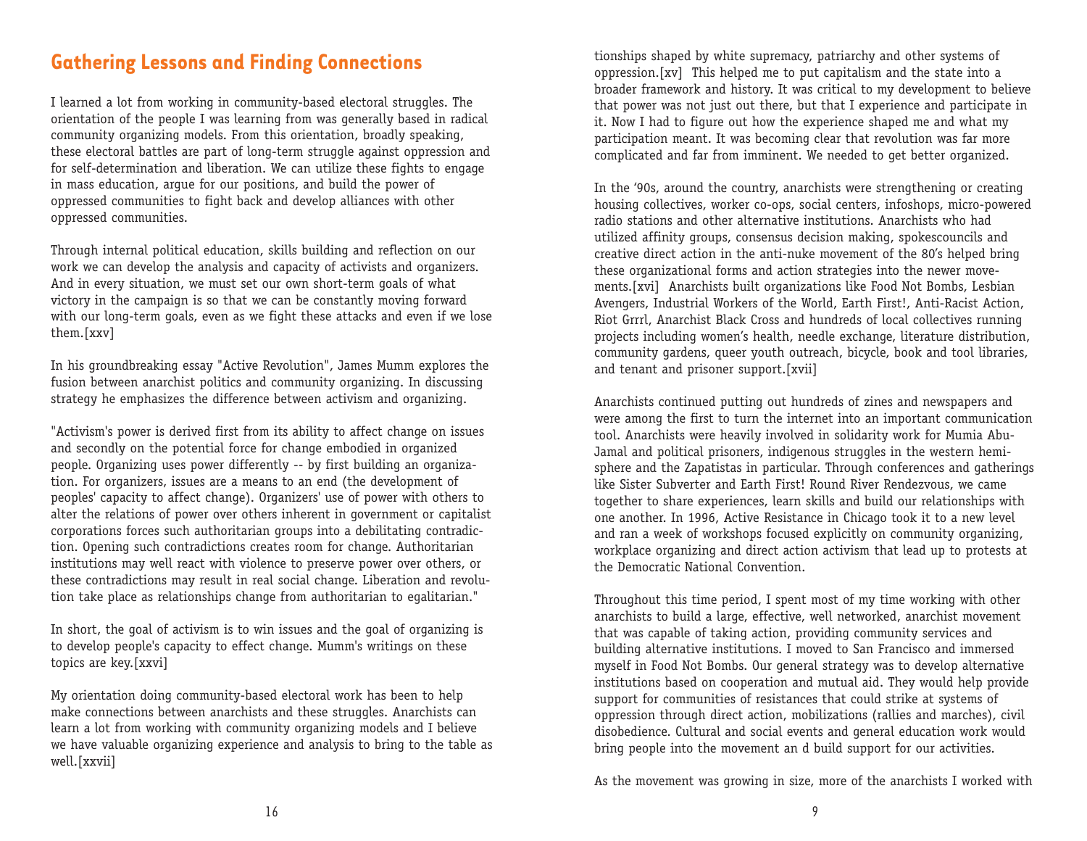#### **Gathering Lessons and Finding Connections**

I learned a lot from working in community-based electoral struggles. The orientation of the people I was learning from was generally based in radical community organizing models. From this orientation, broadly speaking, these electoral battles are part of long-term struggle against oppression and for self-determination and liberation. We can utilize these fights to engage in mass education, argue for our positions, and build the power of oppressed communities to fight back and develop alliances with other oppressed communities.

Through internal political education, skills building and reflection on our work we can develop the analysis and capacity of activists and organizers. And in every situation, we must set our own short-term goals of what victory in the campaign is so that we can be constantly moving forward with our long-term goals, even as we fight these attacks and even if we lose them.[xxv]

In his groundbreaking essay "Active Revolution", James Mumm explores the fusion between anarchist politics and community organizing. In discussing strategy he emphasizes the difference between activism and organizing.

"Activism's power is derived first from its ability to affect change on issues and secondly on the potential force for change embodied in organized people. Organizing uses power differently -- by first building an organization. For organizers, issues are a means to an end (the development of peoples' capacity to affect change). Organizers' use of power with others to alter the relations of power over others inherent in government or capitalist corporations forces such authoritarian groups into a debilitating contradiction. Opening such contradictions creates room for change. Authoritarian institutions may well react with violence to preserve power over others, or these contradictions may result in real social change. Liberation and revolution take place as relationships change from authoritarian to egalitarian."

In short, the goal of activism is to win issues and the goal of organizing is to develop people's capacity to effect change. Mumm's writings on these topics are key.[xxvi]

My orientation doing community-based electoral work has been to help make connections between anarchists and these struggles. Anarchists can learn a lot from working with community organizing models and I believe we have valuable organizing experience and analysis to bring to the table as well.[xxvii]

tionships shaped by white supremacy, patriarchy and other systems of oppression.[xv] This helped me to put capitalism and the state into a broader framework and history. It was critical to my development to believe that power was not just out there, but that I experience and participate in it. Now I had to figure out how the experience shaped me and what my participation meant. It was becoming clear that revolution was far more complicated and far from imminent. We needed to get better organized.

In the '90s, around the country, anarchists were strengthening or creating ho using collectives, worker co-ops, social centers, infoshops, micro-powered radio stations and other alternative institutions. Anarchists who had utilized affinity groups, consensus decision making, spokescouncils and creative direct action in the anti-nuke movement of the 80's helped bring these organizational forms and action strategies into the newer moveme nts.[xvi] Anarchists built organizations like Food Not Bombs, Lesbian Avengers, Industrial Workers of the World, Earth First!, Anti-Racist Action, Riot Grrrl, Anarchist Black Cross and hundreds of local collectives running projects including women's health, needle exchange, literature distribution, community gardens, queer youth outreach, bicycle, book and tool libraries, and tenant and prisoner support.[xvii]

Anarchists continued putting out hundreds of zines and newspapers and were among the first to turn the internet into an important communication tool. Anarchists were heavily involved in solidarity work for Mumia Abu-Jamal and political prisoners, indigenous struggles in the western hemisphere and the Zapatistas in particular. Through conferences and gatherings like Sister Subverter and Earth First! Round River Rendezvous, we came together to share experiences, learn skills and build our relationships with one another. In 1996, Active Resistance in Chicago took it to a new level and ran a week of workshops focused explicitly on community organizing, workplace organizing and direct action activism that lead up to protests at the Democratic National Convention.

Throughout this time period, I spent most of my time working with other anarchists to build a large, effective, well networked, anarchist movement that was capable of taking action, providing community services and building alternative institutions. I moved to San Francisco and immersed myself in Food Not Bombs. Our general strategy was to develop alternative institutions based on cooperation and mutual aid. They would help provide support for communities of resistances that could strike at systems of oppression through direct action, mobilizations (rallies and marches), civil disobedience. Cultural and social events and general education work would bring people into the movement an d build support for our activities.

As the movement was growing in size, more of the anarchists I worked with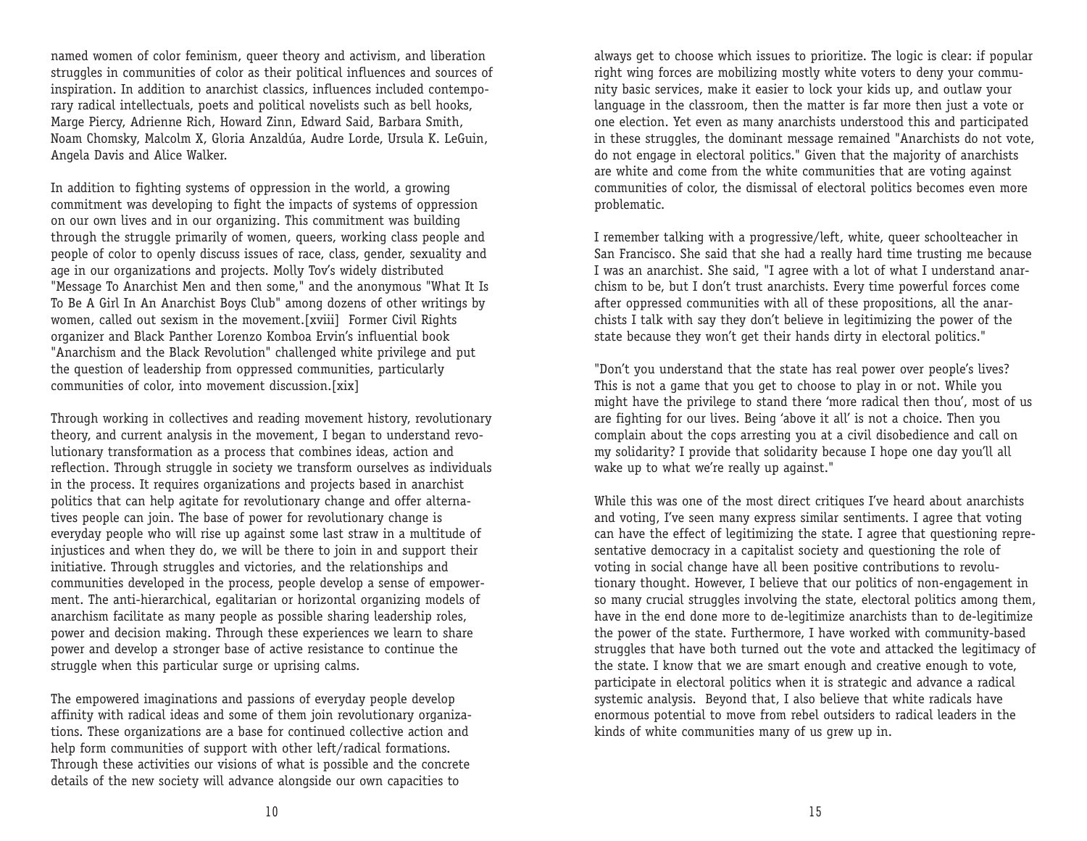named women of color feminism, queer theory and activism, and liberation struggles in communities of color as their political influences and sources of inspiration. In addition to anarchist classics, influences included contemporary radical intellectuals, poets and political novelists such as bell hooks, Marge Piercy, Adrienne Rich, Howard Zinn, Edward Said, Barbara Smith, Noam Chomsky, Malcolm X, Gloria Anzaldúa, Audre Lorde, Ursula K. LeGuin, Angela Davis and Alice Walker.

In addition to fighting systems of oppression in the world, a growing commitment was developing to fight the impacts of systems of oppression on our own lives and in our organizing. This commitment was building through the struggle primarily of women, queers, working class people and people of color to openly discuss issues of race, class, gender, sexuality and age in our organizations and projects. Molly Tov's widely distributed "Message To Anarchist Men and then some," and the anonymous "What It Is To Be A Girl In An Anarchist Boys Club" among dozens of other writings by women, called out sexism in the movement.[xviii] Former Civil Rights organizer and Black Panther Lorenzo Komboa Ervin's influential book "Anarchism and the Black Revolution" challenged white privilege and put the question of leadership from oppressed communities, particularly communities of color, into movement discussion.[xix]

Through working in collectives and reading movement history, revolutionary theory, and current analysis in the movement, I began to understand revolutionary transformation as a process that combines ideas, action and reflection. Through struggle in society we transform ourselves as individuals in the process. It requires organizations and projects based in anarchist politics that can help agitate for revolutionary change and offer alternatives people can join. The base of power for revolutionary change is everyday people who will rise up against some last straw in a multitude of injustices and when they do, we will be there to join in and support their initiative. Through struggles and victories, and the relationships and communities developed in the process, people develop a sense of empowerme nt. The anti-hierarchical, egalitarian or horizontal organizing models of anarchism facilitate as many people as possible sharing leadership roles, power and decision making. Through these experiences we learn to share power and develop a stronger base of active resistance to continue the struggle when this particular surge or uprising calms.

The empowered imaginations and passions of everyday people develop affinity with radical ideas and some of them join revolutionary organizations. These organizations are a base for continued collective action and help form communities of support with other left/radical formations. Through these activities our visions of what is possible and the concrete details of the new society will advance alongside our own capacities to

always get to choose which issues to prioritize. The logic is clear: if popular right wing forces are mobilizing mostly white voters to deny your community basic services, make it easier to lock your kids up, and outlaw your language in the classroom, then the matter is far more then just a vote or one election. Yet even as many anarchists understood this and participated in these struggles, the dominant message remained "Anarchists do not vote, do not engage in electoral politics." Given that the majority of anarchists are white and come from the white communities that are voting against communities of color, the dismissal of electoral politics becomes even more problematic.

I remember talking with a progressive/left, white, queer schoolteacher in San Francisco. She said that she had a really hard time trusting me because I was an anarchist. She said, "I agree with a lot of what I understand anarchism to be, but I don't trust anarchists. Every time powerful forces come after oppressed communities with all of these propositions, all the anarchists I talk with say they don't believe in legitimizing the power of the state because they won't get their hands dirty in electoral politics."

"Don't you understand that the state has real power over people's lives? This is not a game that you get to choose to play in or not. While you might have the privilege to stand there 'more radical then thou', most of us are fighting for our lives. Being 'above it all' is not a choice. Then you complain about the cops arresting you at a civil disobedience and call on my solidarity? I provide that solidarity because I hope one day you'll all wake up to what we're really up against."

While this was one of the most direct critiques I've heard about anarchists and voting, I've seen many express similar sentiments. I agree that voting can have the effect of legitimizing the state. I agree that questioning representative democracy in a capitalist society and questioning the role of voting in social change have all been positive contributions to revolutionary thought. However, I believe that our politics of non-engagement in so many crucial struggles involving the state, electoral politics among them, have in the end done more to de-legitimize anarchists than to de-legitimize the power of the state. Furthermore, I have worked with community-based struggles that have both turned out the vote and attacked the legitimacy of the state. I know that we are smart enough and creative enough to vote, participate in electoral politics when it is strategic and advance a radical systemic analysis. Beyond that, I also believe that white radicals have enormous potential to move from rebel outsiders to radical leaders in the kinds of white communities many of us grew up in.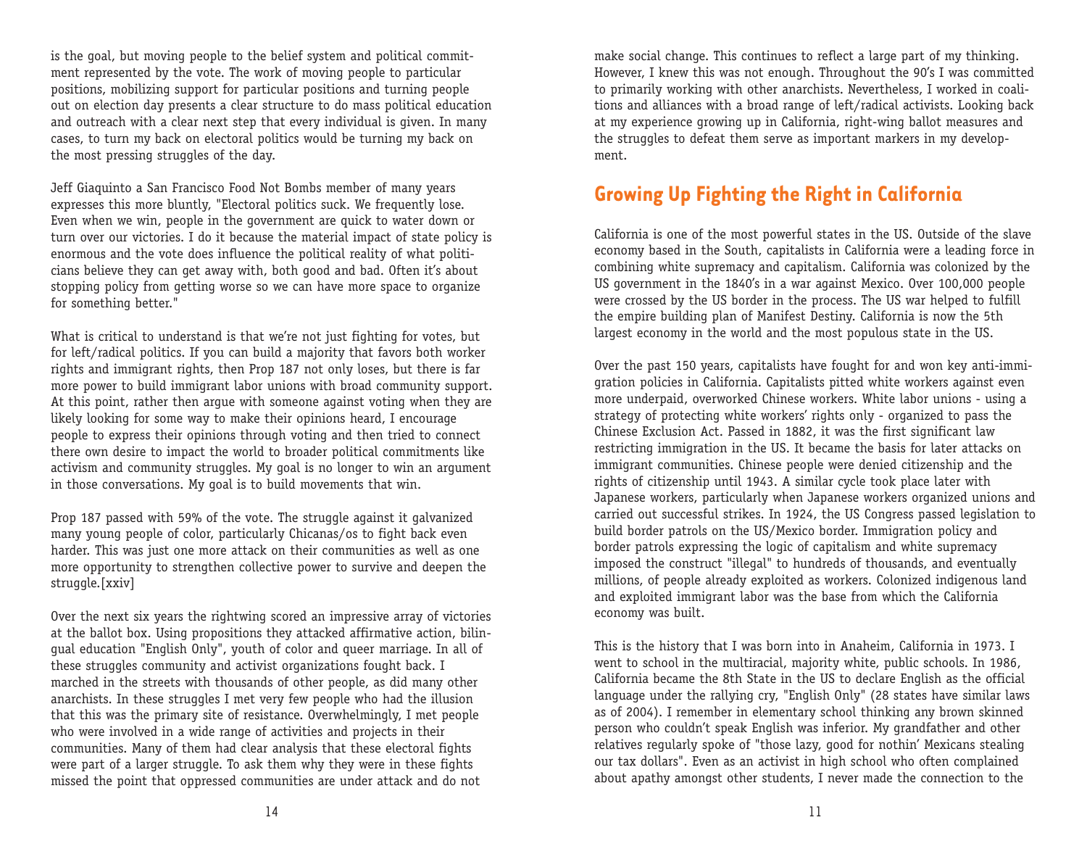is the goal, but moving people to the belief system and political commitment represented by the vote. The work of moving people to particular positions, mobilizing support for particular positions and turning people out on election day presents a clear structure to do mass political education and outreach with a clear next step that every individual is given. In many cases, to turn my back on electoral politics would be turning my back on the most pressing struggles of the day.

Jeff Giaquinto a San Francisco Food Not Bombs member of many years expresses this more bluntly, "Electoral politics suck. We frequently lose. Even when we win, people in the government are quick to water down or turn over our victories. I do it because the material impact of state policy is enormous and the vote does influence the political reality of what politicians believe they can get away with, both good and bad. Often it's about stopping policy from getting worse so we can have more space to organize for something better."

What is critical to understand is that we're not just fighting for votes, but for left/radical politics. If you can build a majority that favors both worker rights and immigrant rights, then Prop 187 not only loses, but there is far more power to build immigrant labor unions with broad community support. At this point, rather then argue with someone against voting when they are likely looking for some way to make their opinions heard, I encourage people to express their opinions through voting and then tried to connect there own desire to impact the world to broader political commitments like activism and community struggles. My goal is no longer to win an argument in those conversations. My goal is to build movements that win.

Prop 187 passed with 59% of the vote. The struggle against it galvanized many young people of color, particularly Chicanas/os to fight back even harder. This was just one more attack on their communities as well as one more opportunity to strengthen collective power to survive and deepen the struggle.[xxiv]

Over the next six years the rightwing scored an impressive array of victories at the ballot box. Using propositions they attacked affirmative action, bilingual education "English Only", youth of color and queer marriage. In all of these struggles community and activist organizations fought back. I marched in the streets with thousands of other people, as did many other anarchists. In these struggles I met very few people who had the illusion that this was the primary site of resistance. Overwhelmingly, I met people who were involved in a wide range of activities and projects in their communities. Many of them had clear analysis that these electoral fights were part of a larger struggle. To ask them why they were in these fights missed the point that oppressed communities are under attack and do not

make social change. This continues to reflect a large part of my thinking. However, I knew this was not enough. Throughout the 90's I was committed to primarily working with other anarchists. Nevertheless, I worked in coalitions and alliances with a broad range of left/radical activists. Looking back at my experience growing up in California, right-wing ballot measures and the struggles to defeat them serve as important markers in my development.

### **Growing Up Fighting the Right in California**

California is one of the most powerful states in the US. Outside of the slave economy based in the South, capitalists in California were a leading force in combining white supremacy and capitalism. California was colonized by the US government in the 1840's in a war against Mexico. Over 100,000 people were crossed by the US border in the process. The US war helped to fulfill the empire building plan of Manifest Destiny. California is now the 5th largest economy in the world and the most populous state in the US.

Over the past 150 years, capitalists have fought for and won key anti-immigration policies in California. Capitalists pitted white workers against even more underpaid, overworked Chinese workers. White labor unions - using a strategy of protecting white workers' rights only - organized to pass the Chinese Exclusion Act. Passed in 1882, it was the first significant law restricting immigration in the US. It became the basis for later attacks on immigrant communities. Chinese people were denied citizenship and the rights of citizenship until 1943. A similar cycle took place later with Japanese workers, particularly when Japanese workers organized unions and carried out successful strikes. In 1924, the US Congress passed legislation to build border patrols on the US/Mexico border. Immigration policy and border patrols expressing the logic of capitalism and white supremacy imposed the construct "illegal" to hundreds of thousands, and eventually millions, of people already exploited as workers. Colonized indigenous land and exploited immigrant labor was the base from which the California economy was built.

This is the history that I was born into in Anaheim, California in 1973. I went to school in the multiracial, majority white, public schools. In 1986, California became the 8th State in the US to declare English as the official language under the rallying cry, "English Only" (28 states have similar laws as of 2004). I remember in elementary school thinking any brown skinned person who couldn't speak English was inferior. My grandfather and other relatives regularly spoke of "those lazy, good for nothin' Mexicans stealing our tax dollars". Even as an activist in high school who often complained about apathy amongst other students, I never made the connection to the